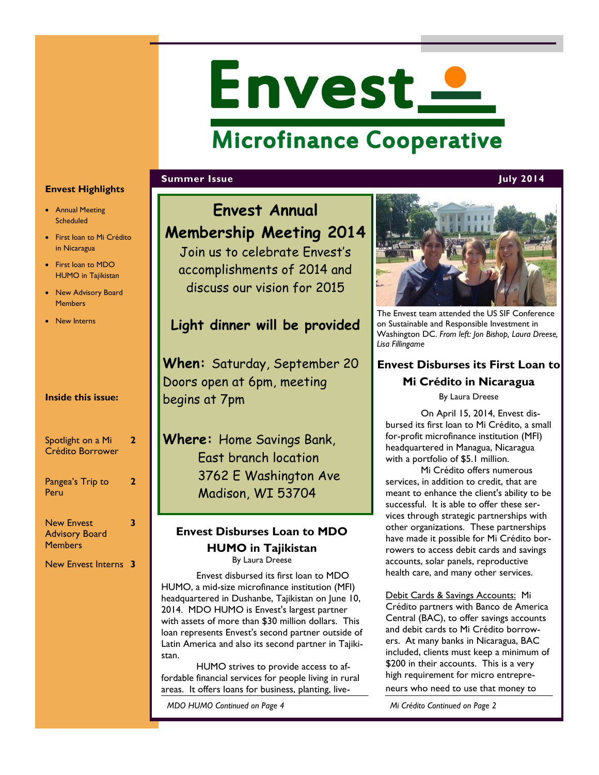# Envest <u>-</u>

# **Microfinance Cooperative**

#### **Summer Issue July 2014**

#### **•** Annual Meeting **Scheduled**

**Envest Highlights**

- First loan to Mi Crédito in Nicaragua
- First loan to MDO HUMO in Tajikistan
- New Advisory Board **Members**
- New Interns

#### **Inside this issue:**

| Spotlight on a Mi<br>Crédito Borrower                        | , |
|--------------------------------------------------------------|---|
| Pangea's Trip to<br>Peru                                     | z |
| <b>New Envest</b><br><b>Advisory Board</b><br><b>Members</b> |   |

New Envest Interns **3**

# **Envest Annual Membership Meeting 2014** Join us to celebrate Envest's accomplishments of 2014 and discuss our vision for 2015 **Light dinner will be provided When:** Saturday, September 20 Doors open at 6pm, meeting begins at 7pm **Where:** Home Savings Bank, East branch location 3762 E Washington Ave Madison, WI 53704 **Envest Disburses Loan to MDO HUMO in Tajikistan** By Laura Dreese Envest disbursed its first loan to MDO HUMO, a mid-size microfinance institution (MFI) headquartered in Dushanbe, Tajikistan on June 10, 2014. MDO HUMO is Envest's largest partner with assets of more than \$30 million dollars. This loan represents Envest's second partner outside of Latin America and also its second partner in Tajikistan. HUMO strives to provide access to affordable financial services for people living in rural areas. It offers loans for business, planting, live-

*MDO HUMO Continued on Page 4 Mi Crédito Continued on Page 2*



The Envest team attended the US SIF Conference on Sustainable and Responsible Investment in Washington DC. *From left: Jon Bishop, Laura Dreese, Lisa Fillingame*

# **Envest Disburses its First Loan to Mi Crédito in Nicaragua**

By Laura Dreese

On April 15, 2014, Envest disbursed its first loan to Mi Crédito, a small for-profit microfinance institution (MFI) headquartered in Managua, Nicaragua with a portfolio of \$5.1 million.

Mi Crédito offers numerous services, in addition to credit, that are meant to enhance the client's ability to be successful. It is able to offer these services through strategic partnerships with other organizations. These partnerships have made it possible for Mi Crédito borrowers to access debit cards and savings accounts, solar panels, reproductive health care, and many other services.

Debit Cards & Savings Accounts: Mi Crédito partners with Banco de America Central (BAC), to offer savings accounts and debit cards to Mi Crédito borrowers. At many banks in Nicaragua, BAC included, clients must keep a minimum of \$200 in their accounts. This is a very high requirement for micro entrepreneurs who need to use that money to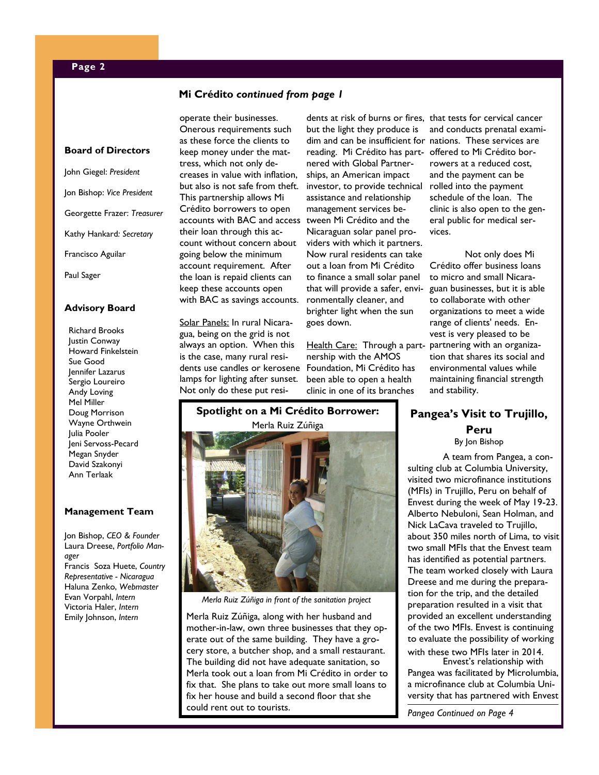#### **Mi Crédito** *continued from page 1*

#### **Board of Directors**

John Giegel: *President* Jon Bishop: *Vice President* Georgette Frazer: *Treasurer* Kathy Hankard*: Secretary* Francisco Aguilar

Paul Sager

#### **Advisory Board**

Richard Brooks Justin Conway Howard Finkelstein Sue Good Jennifer Lazarus Sergio Loureiro Andy Loving Mel Miller Doug Morrison Wayne Orthwein Julia Pooler Jeni Servoss-Pecard Megan Snyder David Szakonyi Ann Terlaak

#### **Management Team**

Jon Bishop, *CEO & Founder* Laura Dreese, *Portfolio Manager* Francis Soza Huete, *Country Representative - Nicaragua* Haluna Zenko, *Webmaster*  Evan Vorpahl, *Intern* Victoria Haler, *Intern* Emily Johnson, *Intern*

operate their businesses. Onerous requirements such as these force the clients to keep money under the mattress, which not only decreases in value with inflation, but also is not safe from theft. This partnership allows Mi Crédito borrowers to open accounts with BAC and access tween Mi Crédito and the their loan through this account without concern about going below the minimum account requirement. After the loan is repaid clients can keep these accounts open with BAC as savings accounts.

Solar Panels: In rural Nicaragua, being on the grid is not always an option. When this is the case, many rural residents use candles or kerosene Foundation, Mi Crédito has lamps for lighting after sunset. Not only do these put resi-

dents at risk of burns or fires, that tests for cervical cancer but the light they produce is dim and can be insufficient for nations. These services are reading. Mi Crédito has part-offered to Mi Crédito bornered with Global Partnerships, an American impact investor, to provide technical assistance and relationship management services be-Nicaraguan solar panel providers with which it partners. Now rural residents can take out a loan from Mi Crédito to finance a small solar panel that will provide a safer, environmentally cleaner, and brighter light when the sun goes down.

Health Care: Through a part- partnering with an organizanership with the AMOS been able to open a health clinic in one of its branches

**Spotlight on a Mi Crédito Borrower:**  Merla Ruiz Zúñiga



*Merla Ruiz Zúñiga in front of the sanitation project*

Merla Ruiz Zúñiga, along with her husband and mother-in-law, own three businesses that they operate out of the same building. They have a grocery store, a butcher shop, and a small restaurant. The building did not have adequate sanitation, so Merla took out a loan from Mi Crédito in order to fix that. She plans to take out more small loans to fix her house and build a second floor that she could rent out to tourists.

and conducts prenatal examirowers at a reduced cost, and the payment can be rolled into the payment schedule of the loan. The clinic is also open to the general public for medical services.

Not only does Mi Crédito offer business loans to micro and small Nicaraguan businesses, but it is able to collaborate with other organizations to meet a wide range of clients' needs. Envest is very pleased to be tion that shares its social and environmental values while maintaining financial strength and stability.

## **Pangea's Visit to Trujillo, Peru**

By Jon Bishop

A team from Pangea, a consulting club at Columbia University, visited two microfinance institutions (MFIs) in Trujillo, Peru on behalf of Envest during the week of May 19-23. Alberto Nebuloni, Sean Holman, and Nick LaCava traveled to Trujillo, about 350 miles north of Lima, to visit two small MFIs that the Envest team has identified as potential partners. The team worked closely with Laura Dreese and me during the preparation for the trip, and the detailed preparation resulted in a visit that provided an excellent understanding of the two MFIs. Envest is continuing to evaluate the possibility of working with these two MFIs later in 2014.

Envest's relationship with Pangea was facilitated by Microlumbia, a microfinance club at Columbia University that has partnered with Envest

*Pangea Continued on Page 4*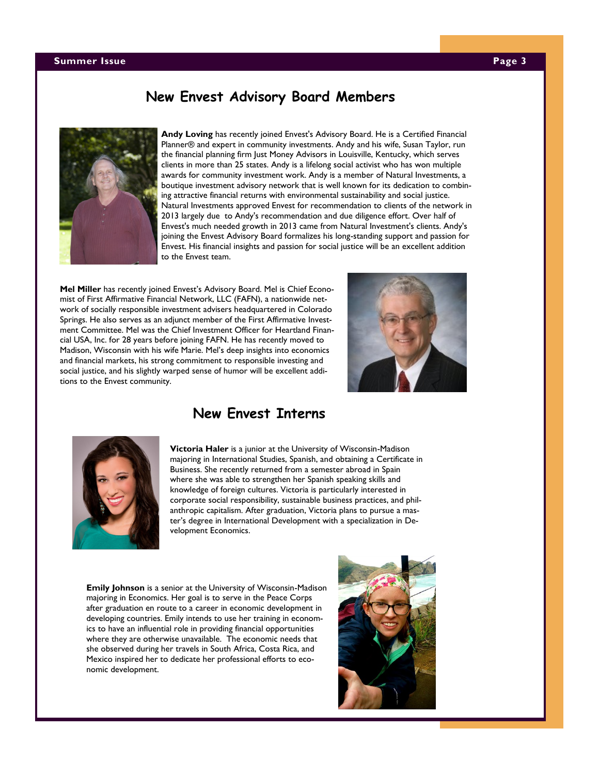#### **Summer Issue Page 3**

# **New Envest Advisory Board Members**



**Andy Loving** has recently joined Envest's Advisory Board. He is a Certified Financial Planner® and expert in community investments. Andy and his wife, Susan Taylor, run the financial planning firm Just Money Advisors in Louisville, Kentucky, which serves clients in more than 25 states. Andy is a lifelong social activist who has won multiple awards for community investment work. Andy is a member of Natural Investments, a boutique investment advisory network that is well known for its dedication to combining attractive financial returns with environmental sustainability and social justice. Natural Investments approved Envest for recommendation to clients of the network in 2013 largely due to Andy's recommendation and due diligence effort. Over half of Envest's much needed growth in 2013 came from Natural Investment's clients. Andy's joining the Envest Advisory Board formalizes his long-standing support and passion for Envest. His financial insights and passion for social justice will be an excellent addition to the Envest team.

**Mel Miller** has recently joined Envest's Advisory Board. Mel is Chief Economist of First Affirmative Financial Network, LLC (FAFN), a nationwide network of socially responsible investment advisers headquartered in Colorado Springs. He also serves as an adjunct member of the First Affirmative Investment Committee. Mel was the Chief Investment Officer for Heartland Financial USA, Inc. for 28 years before joining FAFN. He has recently moved to Madison, Wisconsin with his wife Marie. Mel's deep insights into economics and financial markets, his strong commitment to responsible investing and social justice, and his slightly warped sense of humor will be excellent additions to the Envest community.





### **New Envest Interns**

**Victoria Haler** is a junior at the University of Wisconsin-Madison majoring in International Studies, Spanish, and obtaining a Certificate in Business. She recently returned from a semester abroad in Spain where she was able to strengthen her Spanish speaking skills and knowledge of foreign cultures. Victoria is particularly interested in corporate social responsibility, sustainable business practices, and philanthropic capitalism. After graduation, Victoria plans to pursue a master's degree in International Development with a specialization in Development Economics.

**Emily Johnson** is a senior at the University of Wisconsin-Madison majoring in Economics. Her goal is to serve in the Peace Corps after graduation en route to a career in economic development in developing countries. Emily intends to use her training in economics to have an influential role in providing financial opportunities where they are otherwise unavailable. The economic needs that she observed during her travels in South Africa, Costa Rica, and Mexico inspired her to dedicate her professional efforts to economic development.